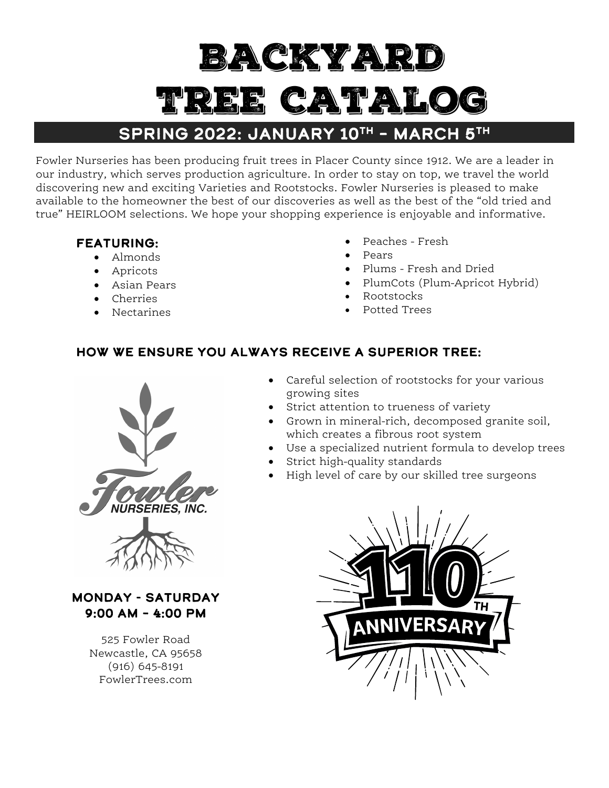# Backyard CAT.

# SPRING 2022: JANUARY 10TH - MARCH 5TH

Fowler Nurseries has been producing fruit trees in Placer County since 1912. We are a leader in our industry, which serves production agriculture. In order to stay on top, we travel the world discovering new and exciting Varieties and Rootstocks. Fowler Nurseries is pleased to make available to the homeowner the best of our discoveries as well as the best of the "old tried and true" HEIRLOOM selections. We hope your shopping experience is enjoyable and informative.

# FEATURING:

- Almonds
- Apricots
- Asian Pears
- Cherries
- Nectarines
- Peaches Fresh
- Pears
- Plums Fresh and Dried
- PlumCots (Plum-Apricot Hybrid)
- Rootstocks
- Potted Trees

# How We Ensure You Always Receive A Superior Tree:



Monday - Saturday 9:00 AM – 4:00 PM

> 525 Fowler Road Newcastle, CA 95658 (916) 645-8191 FowlerTrees.com



- Strict attention to trueness of variety
- Grown in mineral-rich, decomposed granite soil, which creates a fibrous root system
- Use a specialized nutrient formula to develop trees
- Strict high-quality standards
- High level of care by our skilled tree surgeons

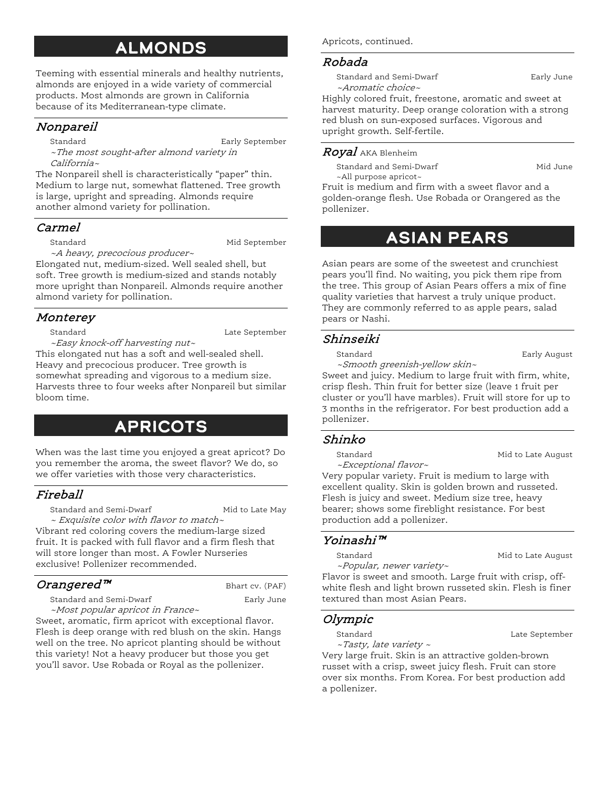# Almonds

Teeming with essential minerals and healthy nutrients, almonds are enjoyed in a wide variety of commercial products. Most almonds are grown in California because of its Mediterranean-type climate.

# Nonpareil

Standard **Early September** 

~The most sought-after almond variety in California~

The Nonpareil shell is characteristically "paper" thin. Medium to large nut, somewhat flattened. Tree growth is large, upright and spreading. Almonds require another almond variety for pollination.

### Carmel

Standard Mid September

~A heavy, precocious producer~

Elongated nut, medium-sized. Well sealed shell, but soft. Tree growth is medium-sized and stands notably more upright than Nonpareil. Almonds require another almond variety for pollination.

# Monterey

Standard Late September

~Easy knock-off harvesting nut~ This elongated nut has a soft and well-sealed shell. Heavy and precocious producer. Tree growth is somewhat spreading and vigorous to a medium size. Harvests three to four weeks after Nonpareil but similar bloom time.

# **APRICOTS**

When was the last time you enjoyed a great apricot? Do you remember the aroma, the sweet flavor? We do, so we offer varieties with those very characteristics.

# Fireball

Standard and Semi-Dwarf Mid to Late May

~ Exquisite color with flavor to match~ Vibrant red coloring covers the medium-large sized fruit. It is packed with full flavor and a firm flesh that will store longer than most. A Fowler Nurseries exclusive! Pollenizer recommended.

# Orangered™ Bhart cv. (PAF)

Standard and Semi-Dwarf **Early June** ~Most popular apricot in France~

Sweet, aromatic, firm apricot with exceptional flavor. Flesh is deep orange with red blush on the skin. Hangs well on the tree. No apricot planting should be without this variety! Not a heavy producer but those you get you'll savor. Use Robada or Royal as the pollenizer.

Apricots, continued.

# Robada

Standard and Semi-Dwarf **Early June** ~Aromatic choice~

Highly colored fruit, freestone, aromatic and sweet at harvest maturity. Deep orange coloration with a strong red blush on sun-exposed surfaces. Vigorous and upright growth. Self-fertile.

### Royal AKA Blenheim

Standard and Semi-Dwarf Mid June ~All purpose apricot~

Fruit is medium and firm with a sweet flavor and a golden-orange flesh. Use Robada or Orangered as the pollenizer.

# Asian Pears

Asian pears are some of the sweetest and crunchiest pears you'll find. No waiting, you pick them ripe from the tree. This group of Asian Pears offers a mix of fine quality varieties that harvest a truly unique product. They are commonly referred to as apple pears, salad pears or Nashi.

## Shinseiki

Standard **Early August** 

~Smooth greenish-yellow skin~

Sweet and juicy. Medium to large fruit with firm, white, crisp flesh. Thin fruit for better size (leave 1 fruit per cluster or you'll have marbles). Fruit will store for up to 3 months in the refrigerator. For best production add a pollenizer.

## Shinko

Standard Mid to Late August

~Exceptional flavor~ Very popular variety. Fruit is medium to large with excellent quality. Skin is golden brown and russeted. Flesh is juicy and sweet. Medium size tree, heavy bearer; shows some fireblight resistance. For best production add a pollenizer.

# Yoinashi™

Standard Mid to Late August ~Popular, newer variety~

Flavor is sweet and smooth. Large fruit with crisp, offwhite flesh and light brown russeted skin. Flesh is finer textured than most Asian Pears.

## Olympic

Standard Late September ~Tasty, late variety ~

Very large fruit. Skin is an attractive golden-brown russet with a crisp, sweet juicy flesh. Fruit can store over six months. From Korea. For best production add a pollenizer.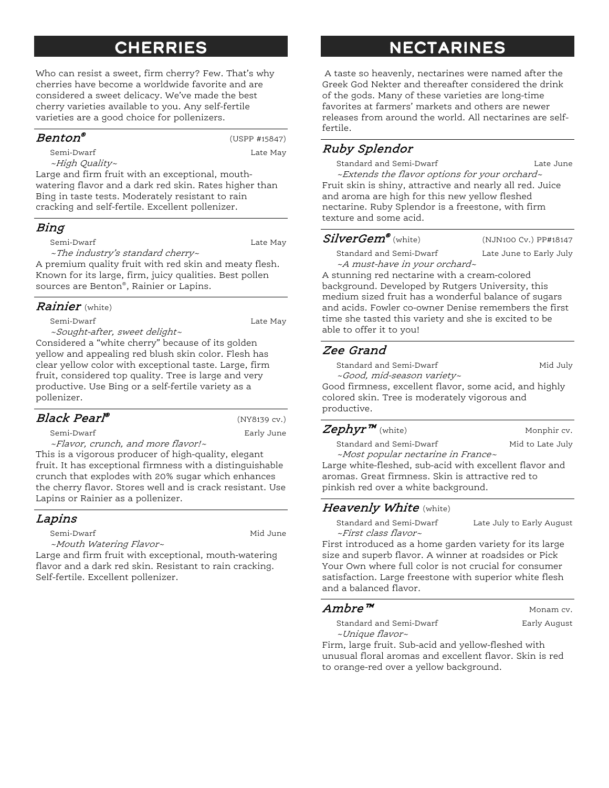# **CHERRIES**

Who can resist a sweet, firm cherry? Few. That's why cherries have become a worldwide favorite and are considered a sweet delicacy. We've made the best cherry varieties available to you. Any self-fertile varieties are a good choice for pollenizers.

#### $Benton^{\circ}$  (USPP #15847)

Semi-Dwarf Late May

~High Quality~

Large and firm fruit with an exceptional, mouthwatering flavor and a dark red skin. Rates higher than Bing in taste tests. Moderately resistant to rain cracking and self-fertile. Excellent pollenizer.

#### Bing

Semi-Dwarf Late May

~The industry's standard cherry~

A premium quality fruit with red skin and meaty flesh. Known for its large, firm, juicy qualities. Best pollen sources are Benton®, Rainier or Lapins.

#### *Rainier* (white)

Semi-Dwarf Late May

~Sought-after, sweet delight~ Considered a "white cherry" because of its golden yellow and appealing red blush skin color. Flesh has clear yellow color with exceptional taste. Large, firm fruit, considered top quality. Tree is large and very productive. Use Bing or a self-fertile variety as a pollenizer.

# $Black~Pearl<sup>®</sup>$  (NY8139 cv.)

Semi-Dwarf **Early June** ~Flavor, crunch, and more flavor!~

This is a vigorous producer of high-quality, elegant fruit. It has exceptional firmness with a distinguishable crunch that explodes with 20% sugar which enhances the cherry flavor. Stores well and is crack resistant. Use Lapins or Rainier as a pollenizer.

#### Lapins

Semi-Dwarf Mid June

~Mouth Watering Flavor~

Large and firm fruit with exceptional, mouth-watering flavor and a dark red skin. Resistant to rain cracking. Self-fertile. Excellent pollenizer.

# Nectarines

A taste so heavenly, nectarines were named after the Greek God Nekter and thereafter considered the drink of the gods. Many of these varieties are long-time favorites at farmers' markets and others are newer releases from around the world. All nectarines are selffertile.

# Ruby Splendor

Standard and Semi-Dwarf **Late June** ~Extends the flavor options for your orchard~

Fruit skin is shiny, attractive and nearly all red. Juice and aroma are high for this new yellow fleshed nectarine. Ruby Splendor is a freestone, with firm texture and some acid.

## $\mathit{SilverGem}^{\bullet}$  (white)

(NJN100 Cv.) PP#18147

Standard and Semi-Dwarf Late June to Early July ~A must-have in your orchard~

A stunning red nectarine with a cream-colored background. Developed by Rutgers University, this medium sized fruit has a wonderful balance of sugars and acids. Fowler co-owner Denise remembers the first time she tasted this variety and she is excited to be able to offer it to you!

# Zee Grand

Standard and Semi-Dwarf Mid July

~Good, mid-season variety~ Good firmness, excellent flavor, some acid, and highly colored skin. Tree is moderately vigorous and productive.

# $\mathsf{Zephyr^m}$  (white) Monphir cv.

Standard and Semi-Dwarf Mid to Late July

~Most popular nectarine in France~ Large white-fleshed, sub-acid with excellent flavor and aromas. Great firmness. Skin is attractive red to pinkish red over a white background.

# Heavenly White (white)

Standard and Semi-Dwarf Late July to Early August ~First class flavor~

First introduced as a home garden variety for its large size and superb flavor. A winner at roadsides or Pick Your Own where full color is not crucial for consumer satisfaction. Large freestone with superior white flesh and a balanced flavor.

#### $Ambre^{m}$  Monam cv.

Standard and Semi-Dwarf **Early August** Early August ~Unique flavor~

Firm, large fruit. Sub-acid and yellow-fleshed with unusual floral aromas and excellent flavor. Skin is red to orange-red over a yellow background.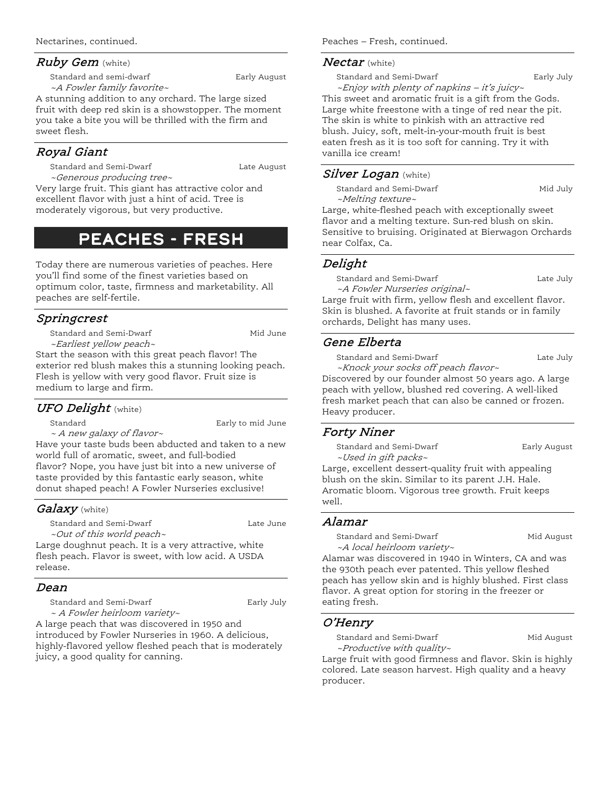#### $Ruby$  Gem (white)

Standard and semi-dwarf **Early August** Early August ~A Fowler family favorite~

A stunning addition to any orchard. The large sized fruit with deep red skin is a showstopper. The moment you take a bite you will be thrilled with the firm and sweet flesh.

#### Royal Giant

Standard and Semi-Dwarf **Late August** Late August

~Generous producing tree~ Very large fruit. This giant has attractive color and excellent flavor with just a hint of acid. Tree is moderately vigorous, but very productive.

# Peaches - Fresh

Today there are numerous varieties of peaches. Here you'll find some of the finest varieties based on optimum color, taste, firmness and marketability. All peaches are self-fertile.

## Springcrest

Standard and Semi-Dwarf Mid June ~Earliest yellow peach~

Start the season with this great peach flavor! The exterior red blush makes this a stunning looking peach. Flesh is yellow with very good flavor. Fruit size is medium to large and firm.

#### UFO Delight (white)

Standard Early to mid June

~ A new galaxy of flavor~

Have your taste buds been abducted and taken to a new world full of aromatic, sweet, and full-bodied flavor? Nope, you have just bit into a new universe of taste provided by this fantastic early season, white donut shaped peach! A Fowler Nurseries exclusive!

#### *Galaxy* (white)

Standard and Semi-Dwarf **Late Late Lune** ~Out of this world peach~

Large doughnut peach. It is a very attractive, white flesh peach. Flavor is sweet, with low acid. A USDA release.

#### Dean

Standard and Semi-Dwarf **Early July** ~ A Fowler heirloom variety~

A large peach that was discovered in 1950 and introduced by Fowler Nurseries in 1960. A delicious, highly-flavored yellow fleshed peach that is moderately juicy, a good quality for canning.

Peaches – Fresh, continued.

#### $Nectar$  (white)

Standard and Semi-Dwarf Early July

~Enjoy with plenty of napkins – it's juicy~ This sweet and aromatic fruit is a gift from the Gods. Large white freestone with a tinge of red near the pit. The skin is white to pinkish with an attractive red blush. Juicy, soft, melt-in-your-mouth fruit is best eaten fresh as it is too soft for canning. Try it with vanilla ice cream!

#### Silver Logan (white)

Standard and Semi-Dwarf Mid July ~Melting texture~

Large, white-fleshed peach with exceptionally sweet flavor and a melting texture. Sun-red blush on skin. Sensitive to bruising. Originated at Bierwagon Orchards near Colfax, Ca.

#### Delight

Standard and Semi-Dwarf **Late July** 

~A Fowler Nurseries original~ Large fruit with firm, yellow flesh and excellent flavor. Skin is blushed. A favorite at fruit stands or in family orchards, Delight has many uses.

#### Gene Elberta

Standard and Semi-Dwarf **Late July** 

~Knock your socks off peach flavor~ Discovered by our founder almost 50 years ago. A large peach with yellow, blushed red covering. A well-liked fresh market peach that can also be canned or frozen.

# Heavy producer. Forty Niner

Standard and Semi-Dwarf **Early August** ~Used in gift packs~

Large, excellent dessert-quality fruit with appealing blush on the skin. Similar to its parent J.H. Hale. Aromatic bloom. Vigorous tree growth. Fruit keeps well.

#### Alamar

Standard and Semi-Dwarf Mid August ~A local heirloom variety~

Alamar was discovered in 1940 in Winters, CA and was the 930th peach ever patented. This yellow fleshed peach has yellow skin and is highly blushed. First class flavor. A great option for storing in the freezer or eating fresh.

#### O'Henry

Standard and Semi-Dwarf Mid August ~Productive with quality~

Large fruit with good firmness and flavor. Skin is highly colored. Late season harvest. High quality and a heavy producer.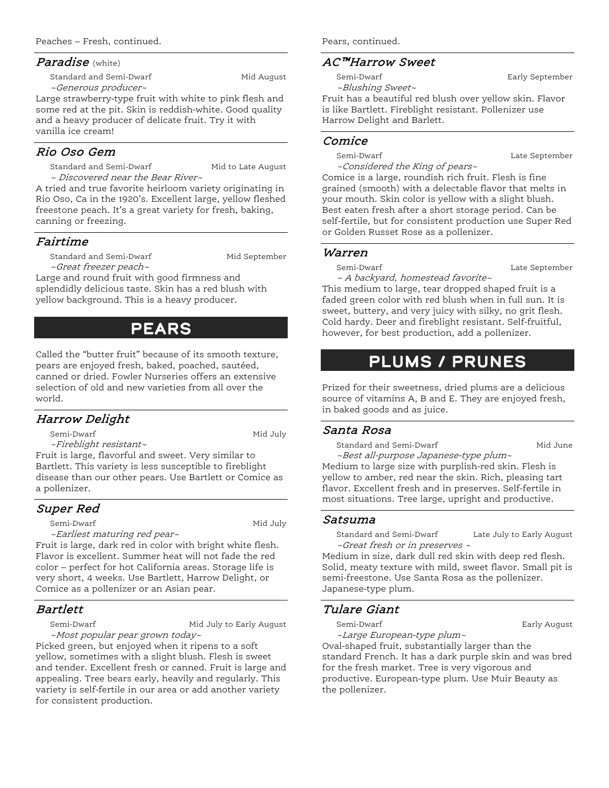#### Paradise (white)

Standard and Semi-Dwarf Mid August ~Generous producer~

Large strawberry-type fruit with white to pink flesh and some red at the pit. Skin is reddish-white. Good quality and a heavy producer of delicate fruit. Try it with vanilla ice cream!

#### Rio Oso Gem

Standard and Semi-Dwarf Mid to Late August ~ Discovered near the Bear River~

A tried and true favorite heirloom variety originating in Rio Oso, Ca in the 1920's. Excellent large, yellow fleshed freestone peach. It's a great variety for fresh, baking, canning or freezing.

#### Fairtime

Standard and Semi-Dwarf Mid September ~Great freezer peach~

Large and round fruit with good firmness and splendidly delicious taste. Skin has a red blush with yellow background. This is a heavy producer.

# Pears

Called the "butter fruit" because of its smooth texture, pears are enjoyed fresh, baked, poached, sautéed, canned or dried. Fowler Nurseries offers an extensive selection of old and new varieties from all over the world.

#### Harrow Delight

Semi-Dwarf Mid July

~Fireblight resistant~

Fruit is large, flavorful and sweet. Very similar to Bartlett. This variety is less susceptible to fireblight disease than our other pears. Use Bartlett or Comice as a pollenizer.

## Super Red

Semi-Dwarf Mid July

~Earliest maturing red pear~

Fruit is large, dark red in color with bright white flesh. Flavor is excellent. Summer heat will not fade the red color – perfect for hot California areas. Storage life is very short, 4 weeks. Use Bartlett, Harrow Delight, or Comice as a pollenizer or an Asian pear.

#### Bartlett

Semi-Dwarf Mid July to Early August ~Most popular pear grown today~

Picked green, but enjoyed when it ripens to a soft yellow, sometimes with a slight blush. Flesh is sweet and tender. Excellent fresh or canned. Fruit is large and appealing. Tree bears early, heavily and regularly. This variety is self-fertile in our area or add another variety for consistent production.

Pears, continued.

### AC™Harrow Sweet

Semi-Dwarf **Early September** ~Blushing Sweet~

Fruit has a beautiful red blush over yellow skin. Flavor is like Bartlett. Fireblight resistant. Pollenizer use Harrow Delight and Barlett.

#### Comice

Semi-Dwarf Late September ~Considered the King of pears~

Comice is a large, roundish rich fruit. Flesh is fine grained (smooth) with a delectable flavor that melts in your mouth. Skin color is yellow with a slight blush. Best eaten fresh after a short storage period. Can be self-fertile, but for consistent production use Super Red or Golden Russet Rose as a pollenizer.

#### Warren

Semi-Dwarf Late September

~ A backyard, homestead favorite~

This medium to large, tear dropped shaped fruit is a faded green color with red blush when in full sun. It is sweet, buttery, and very juicy with silky, no grit flesh. Cold hardy. Deer and fireblight resistant. Self-fruitful, however, for best production, add a pollenizer.

# Plums / Prunes

Prized for their sweetness, dried plums are a delicious source of vitamins A, B and E. They are enjoyed fresh, in baked goods and as juice.

#### Santa Rosa

Standard and Semi-Dwarf Mid June

~Best all-purpose Japanese-type plum~ Medium to large size with purplish-red skin. Flesh is yellow to amber, red near the skin. Rich, pleasing tart flavor. Excellent fresh and in preserves. Self-fertile in most situations. Tree large, upright and productive.

#### Satsuma

Standard and Semi-Dwarf Late July to Early August ~Great fresh or in preserves ~

Medium in size, dark dull red skin with deep red flesh. Solid, meaty texture with mild, sweet flavor. Small pit is semi-freestone. Use Santa Rosa as the pollenizer. Japanese-type plum.

## Tulare Giant

Semi-Dwarf **Early August** Early August

~Large European-type plum~

Oval-shaped fruit, substantially larger than the standard French. It has a dark purple skin and was bred for the fresh market. Tree is very vigorous and productive. European-type plum. Use Muir Beauty as the pollenizer.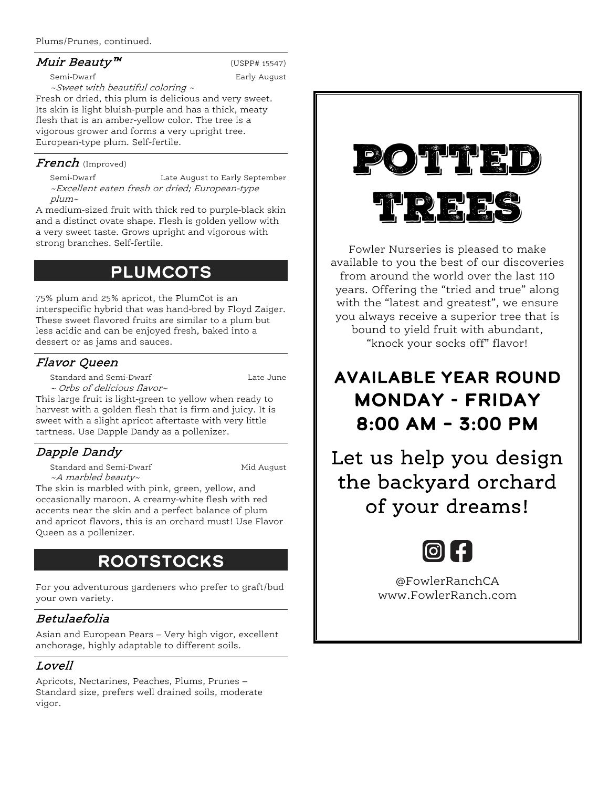#### Plums/Prunes, continued.

#### $Muir \t Bealty^T$  (USPP# 15547)

Semi-Dwarf **Early August** Early August ~Sweet with beautiful coloring ~

Fresh or dried, this plum is delicious and very sweet. Its skin is light bluish-purple and has a thick, meaty flesh that is an amber-yellow color. The tree is a vigorous grower and forms a very upright tree. European-type plum. Self-fertile.

#### French (Improved)

Semi-Dwarf Late August to Early September ~Excellent eaten fresh or dried; European-type plum~

A medium-sized fruit with thick red to purple-black skin and a distinct ovate shape. Flesh is golden yellow with a very sweet taste. Grows upright and vigorous with strong branches. Self-fertile.

# **PLUMCOTS**

75% plum and 25% apricot, the PlumCot is an interspecific hybrid that was hand-bred by Floyd Zaiger. These sweet flavored fruits are similar to a plum but less acidic and can be enjoyed fresh, baked into a dessert or as jams and sauces.

## Flavor Queen

Standard and Semi-Dwarf **Late June** 

~ Orbs of delicious flavor~

This large fruit is light-green to yellow when ready to harvest with a golden flesh that is firm and juicy. It is sweet with a slight apricot aftertaste with very little tartness. Use Dapple Dandy as a pollenizer.

# Dapple Dandy

Standard and Semi-Dwarf Mid August ~A marbled beauty~

The skin is marbled with pink, green, yellow, and occasionally maroon. A creamy-white flesh with red accents near the skin and a perfect balance of plum and apricot flavors, this is an orchard must! Use Flavor Queen as a pollenizer.

# Rootstocks

For you adventurous gardeners who prefer to graft/bud your own variety.

## Betulaefolia

Asian and European Pears – Very high vigor, excellent anchorage, highly adaptable to different soils.

# Lovell

Apricots, Nectarines, Peaches, Plums, Prunes – Standard size, prefers well drained soils, moderate vigor.



Fowler Nurseries is pleased to make available to you the best of our discoveries from around the world over the last 110 years. Offering the "tried and true" along with the "latest and greatest", we ensure you always receive a superior tree that is bound to yield fruit with abundant, "knock your socks off" flavor!

# Available Year Round Monday - Friday 8:00 AM – 3:00 PM

Let us help you design the backyard orchard of your dreams!



@FowlerRanchCA www.FowlerRanch.com